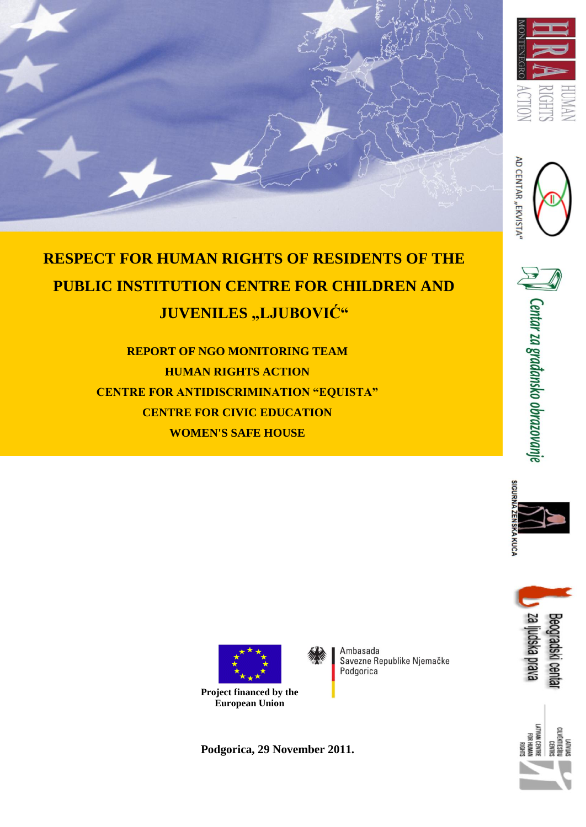





**REPORT OF NGO MONITORING TEAM HUMAN RIGHTS ACTION CENTRE FOR ANTIDISCRIMINATION "EQUISTA" CENTRE FOR CIVIC EDUCATION WOMEN'S SAFE HOUSE**



 $_{\rm{N}}$   $\parallel$  Centar za građansko obrazovanje









**Project financed by the European Union**

Ambasada Savezne Republike Njemačke Podgorica

 **Podgorica, 29 November 2011.**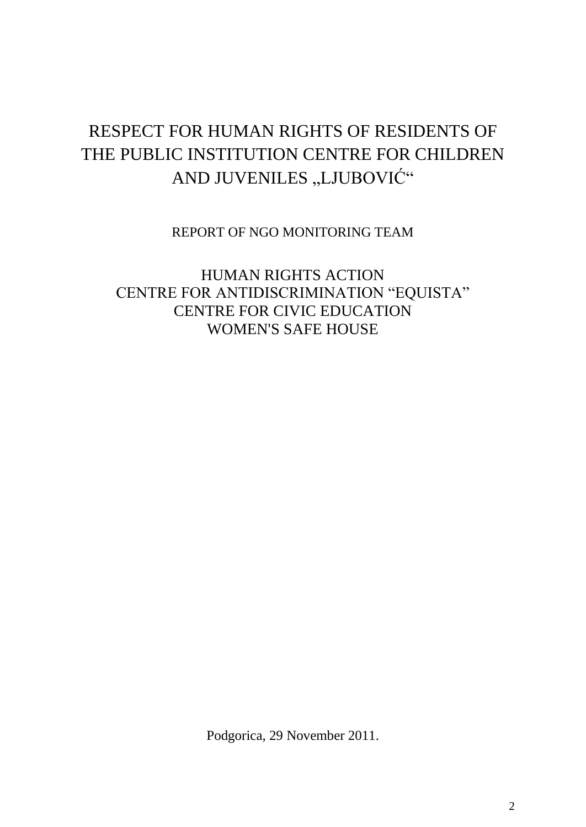# RESPECT FOR HUMAN RIGHTS OF RESIDENTS OF THE PUBLIC INSTITUTION CENTRE FOR CHILDREN AND JUVENILES "LJUBOVIĆ"

REPORT OF NGO MONITORING TEAM

HUMAN RIGHTS ACTION CENTRE FOR ANTIDISCRIMINATION "EQUISTA" CENTRE FOR CIVIC EDUCATION WOMEN'S SAFE HOUSE

Podgorica, 29 November 2011.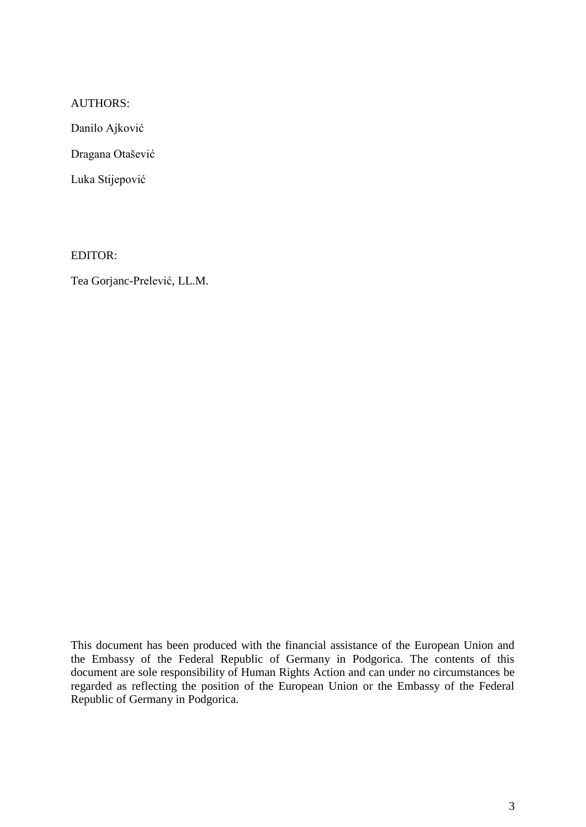#### AUTHORS:

Danilo Ajković

Dragana Otašević

Luka Stijepović

EDITOR:

Tea Gorjanc-Prelević, LL.M.

This document has been produced with the financial assistance of the European Union and the Embassy of the Federal Republic of Germany in Podgorica. The contents of this document are sole responsibility of Human Rights Action and can under no circumstances be regarded as reflecting the position of the European Union or the Embassy of the Federal Republic of Germany in Podgorica.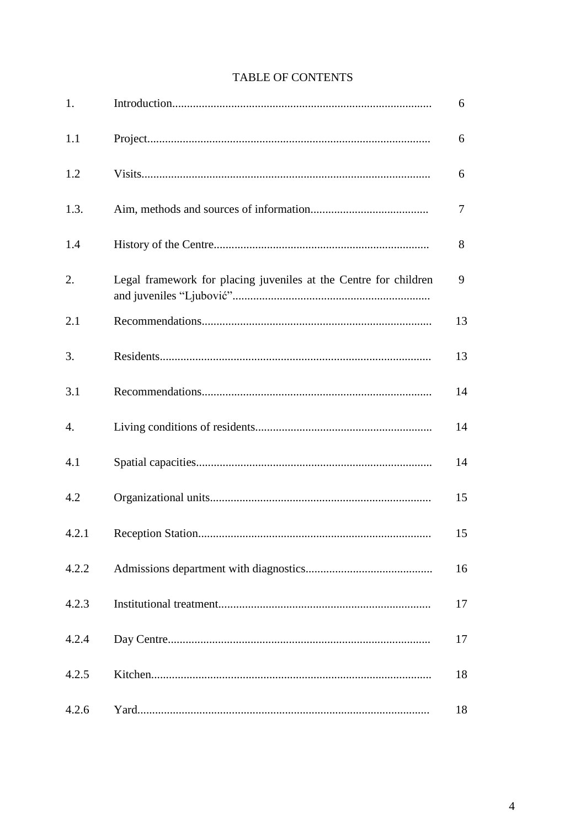# TABLE OF CONTENTS

| 1.    |                                                                  | 6  |
|-------|------------------------------------------------------------------|----|
| 1.1   |                                                                  | 6  |
| 1.2   |                                                                  | 6  |
| 1.3.  |                                                                  | 7  |
| 1.4   |                                                                  | 8  |
| 2.    | Legal framework for placing juveniles at the Centre for children | 9  |
| 2.1   |                                                                  | 13 |
| 3.    |                                                                  | 13 |
| 3.1   |                                                                  | 14 |
| 4.    |                                                                  | 14 |
| 4.1   |                                                                  | 14 |
| 4.2   |                                                                  | 15 |
| 4.2.1 |                                                                  | 15 |
| 4.2.2 |                                                                  | 16 |
| 4.2.3 |                                                                  | 17 |
| 4.2.4 |                                                                  | 17 |
| 4.2.5 |                                                                  | 18 |
| 4.2.6 |                                                                  | 18 |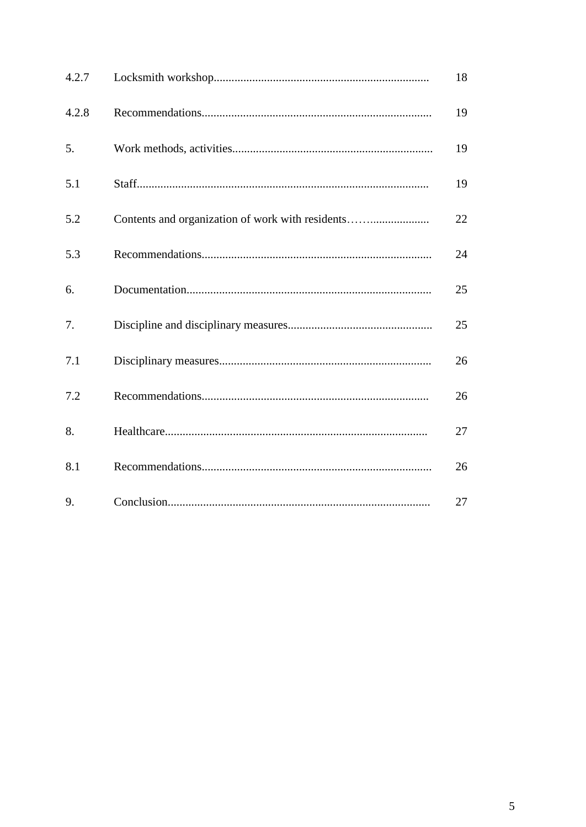| 4.2.7 |                                                  | 18 |
|-------|--------------------------------------------------|----|
| 4.2.8 |                                                  | 19 |
| 5.    |                                                  | 19 |
| 5.1   |                                                  | 19 |
| 5.2   | Contents and organization of work with residents | 22 |
| 5.3   |                                                  | 24 |
| 6.    |                                                  | 25 |
| 7.    |                                                  | 25 |
| 7.1   |                                                  | 26 |
| 7.2   |                                                  | 26 |
| 8.    |                                                  | 27 |
| 8.1   |                                                  | 26 |
| 9.    |                                                  | 27 |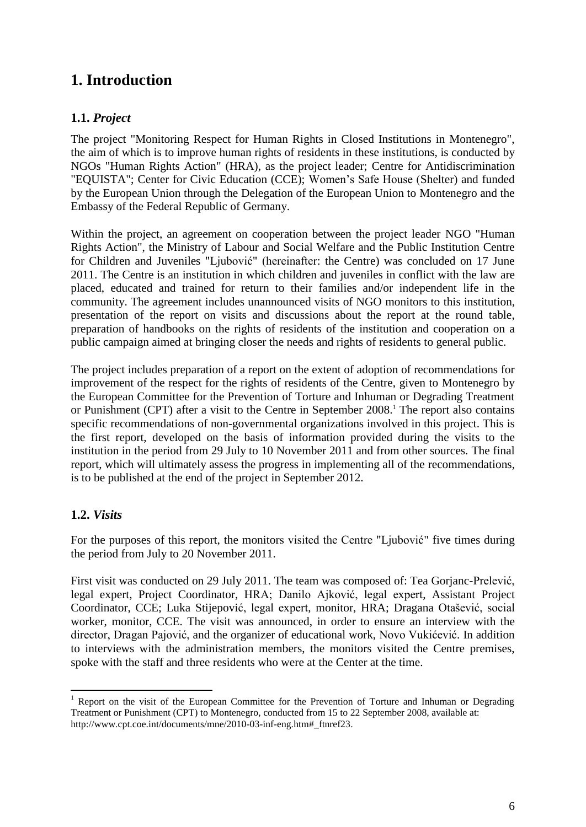# **1. Introduction**

# **1.1.** *Project*

The project "Monitoring Respect for Human Rights in Closed Institutions in Montenegro", the aim of which is to improve human rights of residents in these institutions, is conducted by NGOs "Human Rights Action" (HRA), as the project leader; Centre for Antidiscrimination "EQUISTA"; Center for Civic Education (CCE); Women's Safe House (Shelter) and funded by the European Union through the Delegation of the European Union to Montenegro and the Embassy of the Federal Republic of Germany.

Within the project, an agreement on cooperation between the project leader NGO "Human Rights Action", the Ministry of Labour and Social Welfare and the Public Institution Centre for Children and Juveniles "Ljubović" (hereinafter: the Centre) was concluded on 17 June 2011. The Centre is an institution in which children and juveniles in conflict with the law are placed, educated and trained for return to their families and/or independent life in the community. The agreement includes unannounced visits of NGO monitors to this institution, presentation of the report on visits and discussions about the report at the round table, preparation of handbooks on the rights of residents of the institution and cooperation on a public campaign aimed at bringing closer the needs and rights of residents to general public.

The project includes preparation of a report on the extent of adoption of recommendations for improvement of the respect for the rights of residents of the Centre, given to Montenegro by the European Committee for the Prevention of Torture and Inhuman or Degrading Treatment or Punishment (CPT) after a visit to the Centre in September 2008. <sup>1</sup> The report also contains specific recommendations of non-governmental organizations involved in this project. This is the first report, developed on the basis of information provided during the visits to the institution in the period from 29 July to 10 November 2011 and from other sources. The final report, which will ultimately assess the progress in implementing all of the recommendations, is to be published at the end of the project in September 2012.

# **1.2.** *Visits*

**.** 

For the purposes of this report, the monitors visited the Centre "Ljubović" five times during the period from July to 20 November 2011.

First visit was conducted on 29 July 2011. The team was composed of: Tea Gorjanc-Prelević, legal expert, Project Coordinator, HRA; Danilo Ajković, legal expert, Assistant Project Coordinator, CCE; Luka Stijepović, legal expert, monitor, HRA; Dragana Otašević, social worker, monitor, CCE. The visit was announced, in order to ensure an interview with the director, Dragan Pajović, and the organizer of educational work, Novo Vukićević. In addition to interviews with the administration members, the monitors visited the Centre premises, spoke with the staff and three residents who were at the Center at the time.

<sup>1</sup> Report on the visit of the European Committee for the Prevention of Torture and Inhuman or Degrading Treatment or Punishment (CPT) to Montenegro, conducted from 15 to 22 September 2008, available at: http://www.cpt.coe.int/documents/mne/2010-03-inf-eng.htm#\_ftnref23.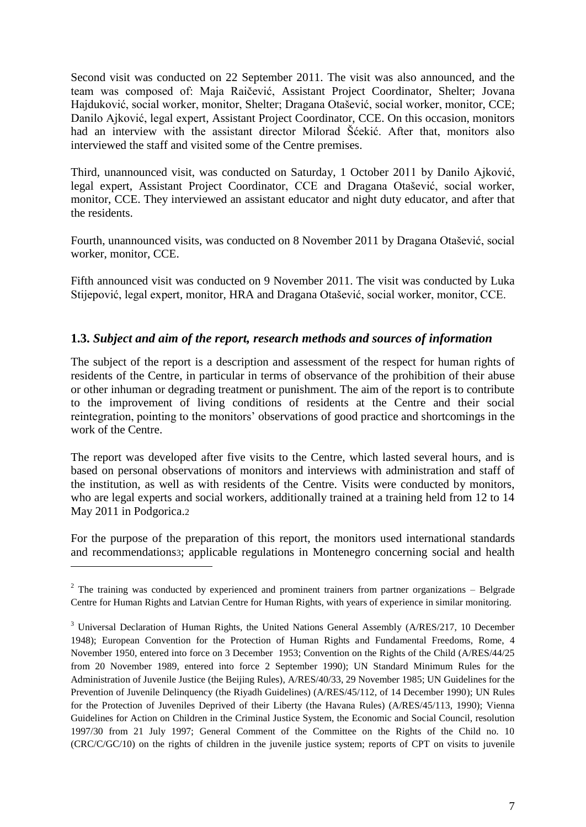Second visit was conducted on 22 September 2011. The visit was also announced, and the team was composed of: Maja Raičević, Assistant Project Coordinator, Shelter; Jovana Hajduković, social worker, monitor, Shelter; Dragana Otašević, social worker, monitor, CCE; Danilo Ajković, legal expert, Assistant Project Coordinator, CCE. On this occasion, monitors had an interview with the assistant director Milorad Šćekić. After that, monitors also interviewed the staff and visited some of the Centre premises.

Third, unannounced visit, was conducted on Saturday, 1 October 2011 by Danilo Ajković, legal expert, Assistant Project Coordinator, CCE and Dragana Otašević, social worker, monitor, CCE. They interviewed an assistant educator and night duty educator, and after that the residents.

Fourth, unannounced visits, was conducted on 8 November 2011 by Dragana Otašević, social worker, monitor, CCE.

Fifth announced visit was conducted on 9 November 2011. The visit was conducted by Luka Stijepović, legal expert, monitor, HRA and Dragana Otašević, social worker, monitor, CCE.

## **1.3.** *Subject and aim of the report, research methods and sources of information*

The subject of the report is a description and assessment of the respect for human rights of residents of the Centre, in particular in terms of observance of the prohibition of their abuse or other inhuman or degrading treatment or punishment. The aim of the report is to contribute to the improvement of living conditions of residents at the Centre and their social reintegration, pointing to the monitors' observations of good practice and shortcomings in the work of the Centre.

The report was developed after five visits to the Centre, which lasted several hours, and is based on personal observations of monitors and interviews with administration and staff of the institution, as well as with residents of the Centre. Visits were conducted by monitors, who are legal experts and social workers, additionally trained at a training held from 12 to 14 May 2011 in Podgorica.2

For the purpose of the preparation of this report, the monitors used international standards and recommendations3; applicable regulations in Montenegro concerning social and health

**.** 

 $2$  The training was conducted by experienced and prominent trainers from partner organizations – Belgrade Centre for Human Rights and Latvian Centre for Human Rights, with years of experience in similar monitoring.

<sup>&</sup>lt;sup>3</sup> Universal Declaration of Human Rights, the United Nations General Assembly (A/RES/217, 10 December 1948); European Convention for the Protection of Human Rights and Fundamental Freedoms, Rome, 4 November 1950, entered into force on 3 December 1953; Convention on the Rights of the Child (A/RES/44/25 from 20 November 1989, entered into force 2 September 1990); UN Standard Minimum Rules for the Administration of Juvenile Justice (the Beijing Rules), A/RES/40/33, 29 November 1985; UN Guidelines for the Prevention of Juvenile Delinquency (the Riyadh Guidelines) (A/RES/45/112, of 14 December 1990); UN Rules for the Protection of Juveniles Deprived of their Liberty (the Havana Rules) (A/RES/45/113, 1990); Vienna Guidelines for Action on Children in the Criminal Justice System, the Economic and Social Council, resolution 1997/30 from 21 July 1997; General Comment of the Committee on the Rights of the Child no. 10 (CRC/C/GC/10) on the rights of children in the juvenile justice system; reports of CPT on visits to juvenile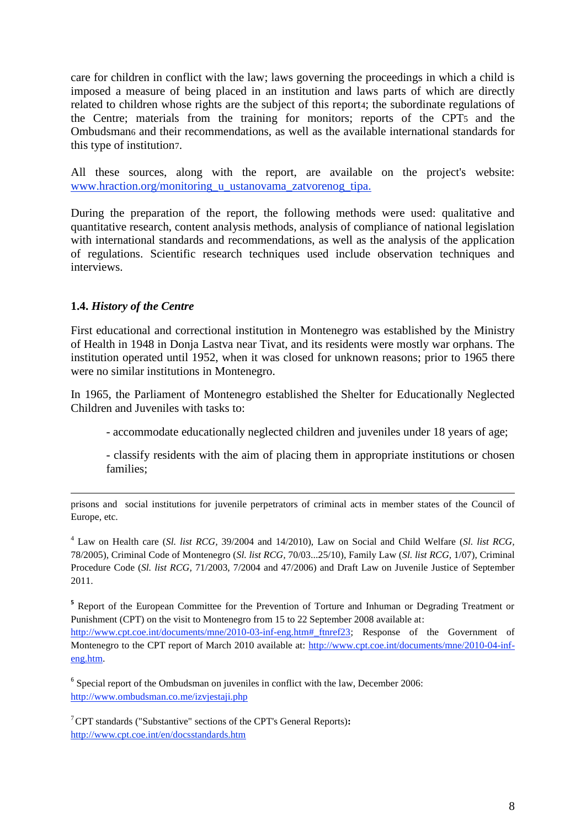care for children in conflict with the law; laws governing the proceedings in which a child is imposed a measure of being placed in an institution and laws parts of which are directly related to children whose rights are the subject of this report4; the subordinate regulations of the Centre; materials from the training for monitors; reports of the CPT5 and the Ombudsman6 and their recommendations, as well as the available international standards for this type of institution7.

All these sources, along with the report, are available on the project's website: www.hraction.org/monitoring\_u\_ustanovama\_zatvorenog\_tipa.

During the preparation of the report, the following methods were used: qualitative and quantitative research, content analysis methods, analysis of compliance of national legislation with international standards and recommendations, as well as the analysis of the application of regulations. Scientific research techniques used include observation techniques and interviews.

## **1.4.** *History of the Centre*

First educational and correctional institution in Montenegro was established by the Ministry of Health in 1948 in Donja Lastva near Tivat, and its residents were mostly war orphans. The institution operated until 1952, when it was closed for unknown reasons; prior to 1965 there were no similar institutions in Montenegro.

In 1965, the Parliament of Montenegro established the Shelter for Educationally Neglected Children and Juveniles with tasks to:

- accommodate educationally neglected children and juveniles under 18 years of age;

- classify residents with the aim of placing them in appropriate institutions or chosen families;

prisons and social institutions for juvenile perpetrators of criminal acts in member states of the Council of Europe, etc.

<sup>4</sup> Law on Health care (*Sl. list RCG,* 39/2004 and 14/2010), Law on Social and Child Welfare (*Sl. list RCG,* 78/2005), Criminal Code of Montenegro (*Sl. list RCG,* 70/03...25/10), Family Law (*Sl. list RCG,* 1/07), Criminal Procedure Code (*Sl. list RCG,* 71/2003, 7/2004 and 47/2006) and Draft Law on Juvenile Justice of September 2011.

<sup>5</sup> Report of the European Committee for the Prevention of Torture and Inhuman or Degrading Treatment or Punishment (CPT) on the visit to Montenegro from 15 to 22 September 2008 available at:

[http://www.cpt.coe.int/documents/mne/2010-03-inf-eng.htm#\\_ftnref23;](http://www.cpt.coe.int/documents/mne/2010-03-inf-eng.htm#_ftnref23) Response of the Government of Montenegro to the CPT report of March 2010 available at: [http://www.cpt.coe.int/documents/mne/2010-04-inf](http://www.cpt.coe.int/documents/mne/2010-04-inf-eng.htm)[eng.htm.](http://www.cpt.coe.int/documents/mne/2010-04-inf-eng.htm) 

<sup>6</sup> Special report of the Ombudsman on juveniles in conflict with the law, December 2006: <http://www.ombudsman.co.me/izvjestaji.php>

<sup>7</sup>CPT standards ("Substantive" sections of the CPT's General Reports)**:**  <http://www.cpt.coe.int/en/docsstandards.htm>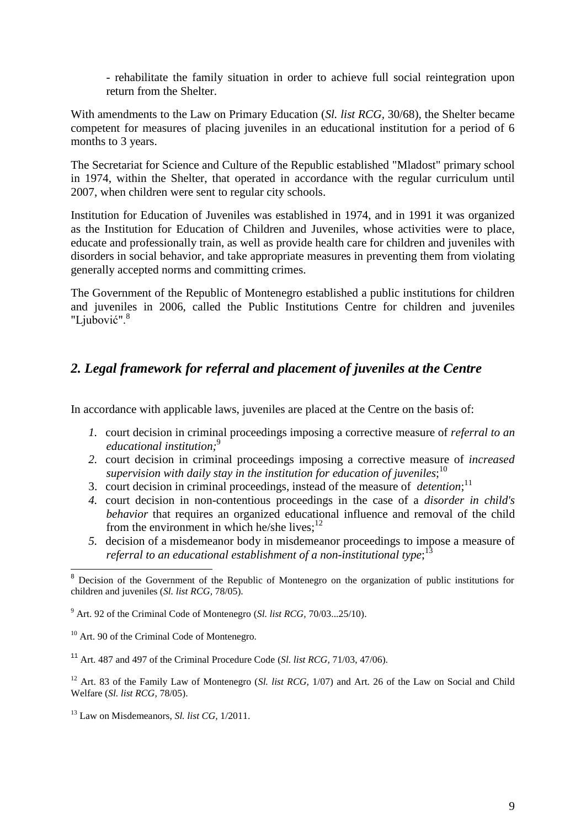- rehabilitate the family situation in order to achieve full social reintegration upon return from the Shelter.

With amendments to the Law on Primary Education (*Sl. list RCG,* 30/68), the Shelter became competent for measures of placing juveniles in an educational institution for a period of 6 months to 3 years.

The Secretariat for Science and Culture of the Republic established "Mladost" primary school in 1974, within the Shelter, that operated in accordance with the regular curriculum until 2007, when children were sent to regular city schools.

Institution for Education of Juveniles was established in 1974, and in 1991 it was organized as the Institution for Education of Children and Juveniles, whose activities were to place, educate and professionally train, as well as provide health care for children and juveniles with disorders in social behavior, and take appropriate measures in preventing them from violating generally accepted norms and committing crimes.

The Government of the Republic of Montenegro established a public institutions for children and juveniles in 2006, called the Public Institutions Centre for children and juveniles "Ljubović".<sup>8</sup>

# *2. Legal framework for referral and placement of juveniles at the Centre*

In accordance with applicable laws, juveniles are placed at the Centre on the basis of:

- *1.* court decision in criminal proceedings imposing a corrective measure of *referral to an educational institution;*<sup>9</sup>
- *2.* court decision in criminal proceedings imposing a corrective measure of *increased supervision with daily stay in the institution for education of juveniles*; 10
- 3. court decision in criminal proceedings, instead of the measure of *detention*; 11
- *4.* court decision in non-contentious proceedings in the case of a *disorder in child's behavior* that requires an organized educational influence and removal of the child from the environment in which he/she lives; $^{12}$
- *5.* decision of a misdemeanor body in misdemeanor proceedings to impose a measure of *referral to an educational establishment of a non-institutional type*; 13

 $\overline{\phantom{a}}$ 

<sup>&</sup>lt;sup>8</sup> Decision of the Government of the Republic of Montenegro on the organization of public institutions for children and juveniles (*Sl. list RCG,* 78/05).

<sup>9</sup> Art. 92 of the Criminal Code of Montenegro (*Sl. list RCG,* 70/03...25/10).

<sup>&</sup>lt;sup>10</sup> Art. 90 of the Criminal Code of Montenegro.

<sup>11</sup> Art. 487 and 497 of the Criminal Procedure Code (*Sl. list RCG,* 71/03, 47/06).

<sup>&</sup>lt;sup>12</sup> Art. 83 of the Family Law of Montenegro (*Sl. list RCG*, 1/07) and Art. 26 of the Law on Social and Child Welfare (*Sl. list RCG,* 78/05).

<sup>13</sup> Law on Misdemeanors, *Sl. list CG,* 1/2011.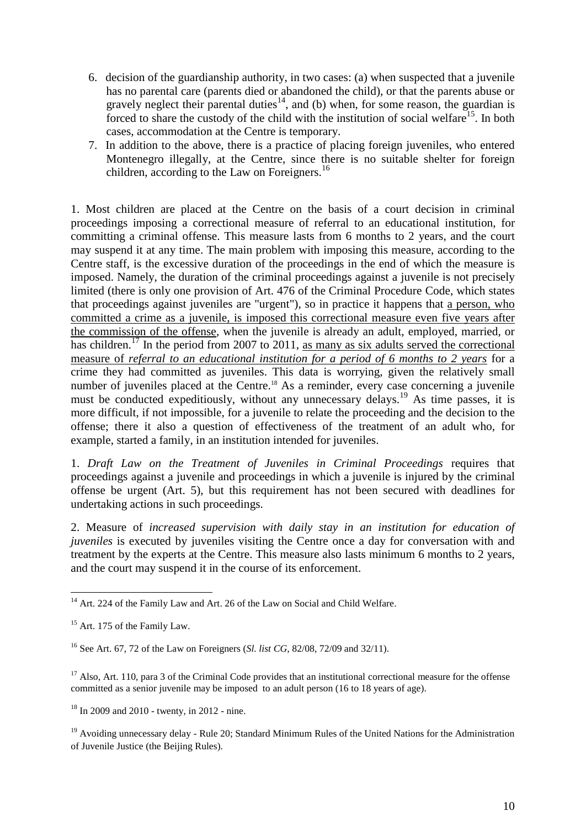- 6. decision of the guardianship authority, in two cases: (a) when suspected that a juvenile has no parental care (parents died or abandoned the child), or that the parents abuse or gravely neglect their parental duties<sup>14</sup>, and (b) when, for some reason, the guardian is forced to share the custody of the child with the institution of social welfare<sup>15</sup>. In both cases, accommodation at the Centre is temporary.
- 7. In addition to the above, there is a practice of placing foreign juveniles, who entered Montenegro illegally, at the Centre, since there is no suitable shelter for foreign children, according to the Law on Foreigners.<sup>16</sup>

1. Most children are placed at the Centre on the basis of a court decision in criminal proceedings imposing a correctional measure of referral to an educational institution, for committing a criminal offense. This measure lasts from 6 months to 2 years, and the court may suspend it at any time. The main problem with imposing this measure, according to the Centre staff, is the excessive duration of the proceedings in the end of which the measure is imposed. Namely, the duration of the criminal proceedings against a juvenile is not precisely limited (there is only one provision of Art. 476 of the Criminal Procedure Code, which states that proceedings against juveniles are "urgent"), so in practice it happens that a person, who committed a crime as a juvenile, is imposed this correctional measure even five years after the commission of the offense, when the juvenile is already an adult, employed, married, or has children.<sup>17</sup> In the period from 2007 to 2011, as many as six adults served the correctional measure of *referral to an educational institution for a period of 6 months to 2 years* for a crime they had committed as juveniles. This data is worrying, given the relatively small number of juveniles placed at the Centre.<sup>18</sup> As a reminder, every case concerning a juvenile must be conducted expeditiously, without any unnecessary delays.<sup>19</sup> As time passes, it is more difficult, if not impossible, for a juvenile to relate the proceeding and the decision to the offense; there it also a question of effectiveness of the treatment of an adult who, for example, started a family, in an institution intended for juveniles.

1. *Draft Law on the Treatment of Juveniles in Criminal Proceedings* requires that proceedings against a juvenile and proceedings in which a juvenile is injured by the criminal offense be urgent (Art. 5), but this requirement has not been secured with deadlines for undertaking actions in such proceedings.

2. Measure of *increased supervision with daily stay in an institution for education of juveniles* is executed by juveniles visiting the Centre once a day for conversation with and treatment by the experts at the Centre. This measure also lasts minimum 6 months to 2 years, and the court may suspend it in the course of its enforcement.

<sup>1</sup> <sup>14</sup> Art. 224 of the Family Law and Art. 26 of the Law on Social and Child Welfare.

 $15$  Art. 175 of the Family Law.

<sup>16</sup> See Art. 67, 72 of the Law on Foreigners (*Sl. list CG,* 82/08, 72/09 and 32/11).

<sup>&</sup>lt;sup>17</sup> Also, Art. 110, para 3 of the Criminal Code provides that an institutional correctional measure for the offense committed as a senior juvenile may be imposed to an adult person (16 to 18 years of age).

<sup>18</sup> In 2009 and 2010 - twenty, in 2012 - nine.

<sup>&</sup>lt;sup>19</sup> Avoiding unnecessary delay - Rule 20; Standard Minimum Rules of the United Nations for the Administration of Juvenile Justice (the Beijing Rules).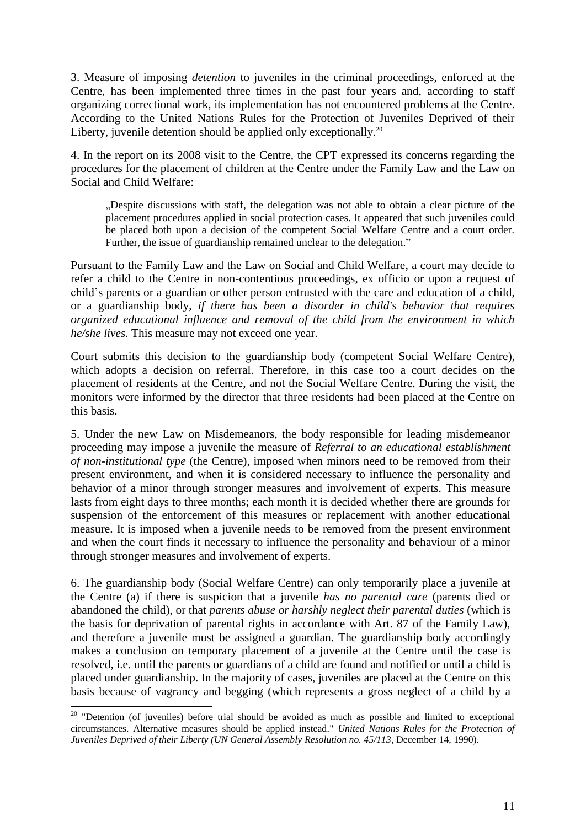3. Measure of imposing *detention* to juveniles in the criminal proceedings, enforced at the Centre, has been implemented three times in the past four years and, according to staff organizing correctional work, its implementation has not encountered problems at the Centre. According to the United Nations Rules for the Protection of Juveniles Deprived of their Liberty, juvenile detention should be applied only exceptionally.<sup>20</sup>

4. In the report on its 2008 visit to the Centre, the CPT expressed its concerns regarding the procedures for the placement of children at the Centre under the Family Law and the Law on Social and Child Welfare:

"Despite discussions with staff, the delegation was not able to obtain a clear picture of the placement procedures applied in social protection cases. It appeared that such juveniles could be placed both upon a decision of the competent Social Welfare Centre and a court order. Further, the issue of guardianship remained unclear to the delegation."

Pursuant to the Family Law and the Law on Social and Child Welfare, a court may decide to refer a child to the Centre in non-contentious proceedings, ex officio or upon a request of child's parents or a guardian or other person entrusted with the care and education of a child, or a guardianship body, *if there has been a disorder in child's behavior that requires organized educational influence and removal of the child from the environment in which he/she lives.* This measure may not exceed one year.

Court submits this decision to the guardianship body (competent Social Welfare Centre), which adopts a decision on referral. Therefore, in this case too a court decides on the placement of residents at the Centre, and not the Social Welfare Centre. During the visit, the monitors were informed by the director that three residents had been placed at the Centre on this basis.

5. Under the new Law on Misdemeanors, the body responsible for leading misdemeanor proceeding may impose a juvenile the measure of *Referral to an educational establishment of non-institutional type* (the Centre), imposed when minors need to be removed from their present environment, and when it is considered necessary to influence the personality and behavior of a minor through stronger measures and involvement of experts. This measure lasts from eight days to three months; each month it is decided whether there are grounds for suspension of the enforcement of this measures or replacement with another educational measure. It is imposed when a juvenile needs to be removed from the present environment and when the court finds it necessary to influence the personality and behaviour of a minor through stronger measures and involvement of experts.

6. The guardianship body (Social Welfare Centre) can only temporarily place a juvenile at the Centre (a) if there is suspicion that a juvenile *has no parental care* (parents died or abandoned the child), or that *parents abuse or harshly neglect their parental duties* (which is the basis for deprivation of parental rights in accordance with Art. 87 of the Family Law), and therefore a juvenile must be assigned a guardian. The guardianship body accordingly makes a conclusion on temporary placement of a juvenile at the Centre until the case is resolved, i.e. until the parents or guardians of a child are found and notified or until a child is placed under guardianship. In the majority of cases, juveniles are placed at the Centre on this basis because of vagrancy and begging (which represents a gross neglect of a child by a

1

 $20$  "Detention (of juveniles) before trial should be avoided as much as possible and limited to exceptional circumstances. Alternative measures should be applied instead." *United Nations Rules for the Protection of Juveniles Deprived of their Liberty (UN General Assembly Resolution no. 45/113*, December 14, 1990).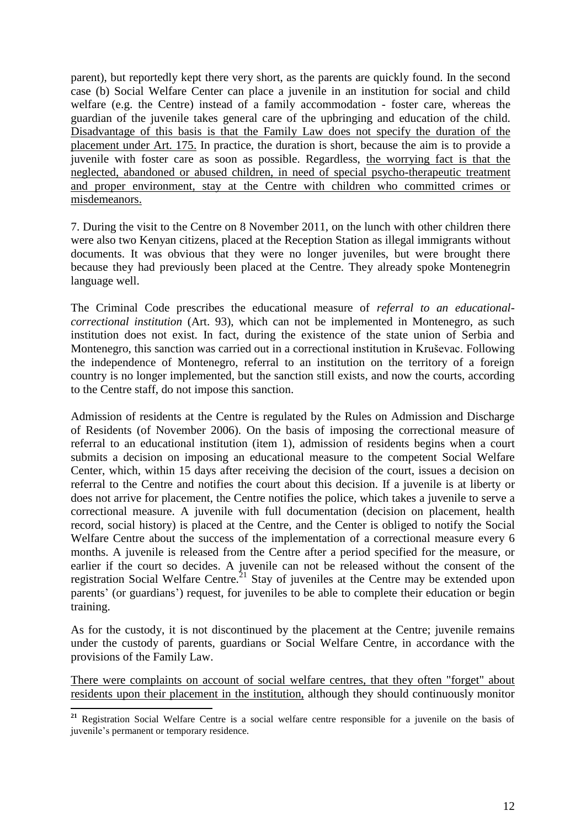parent), but reportedly kept there very short, as the parents are quickly found. In the second case (b) Social Welfare Center can place a juvenile in an institution for social and child welfare (e.g. the Centre) instead of a family accommodation - foster care, whereas the guardian of the juvenile takes general care of the upbringing and education of the child. Disadvantage of this basis is that the Family Law does not specify the duration of the placement under Art. 175. In practice, the duration is short, because the aim is to provide a juvenile with foster care as soon as possible. Regardless, the worrying fact is that the neglected, abandoned or abused children, in need of special psycho-therapeutic treatment and proper environment, stay at the Centre with children who committed crimes or misdemeanors.

7. During the visit to the Centre on 8 November 2011, on the lunch with other children there were also two Kenyan citizens, placed at the Reception Station as illegal immigrants without documents. It was obvious that they were no longer juveniles, but were brought there because they had previously been placed at the Centre. They already spoke Montenegrin language well.

The Criminal Code prescribes the educational measure of *referral to an educationalcorrectional institution* (Art. 93), which can not be implemented in Montenegro, as such institution does not exist. In fact, during the existence of the state union of Serbia and Montenegro, this sanction was carried out in a correctional institution in Kruševac. Following the independence of Montenegro, referral to an institution on the territory of a foreign country is no longer implemented, but the sanction still exists, and now the courts, according to the Centre staff, do not impose this sanction.

Admission of residents at the Centre is regulated by the Rules on Admission and Discharge of Residents (of November 2006). On the basis of imposing the correctional measure of referral to an educational institution (item 1), admission of residents begins when a court submits a decision on imposing an educational measure to the competent Social Welfare Center, which, within 15 days after receiving the decision of the court, issues a decision on referral to the Centre and notifies the court about this decision. If a juvenile is at liberty or does not arrive for placement, the Centre notifies the police, which takes a juvenile to serve a correctional measure. A juvenile with full documentation (decision on placement, health record, social history) is placed at the Centre, and the Center is obliged to notify the Social Welfare Centre about the success of the implementation of a correctional measure every 6 months. A juvenile is released from the Centre after a period specified for the measure, or earlier if the court so decides. A juvenile can not be released without the consent of the registration Social Welfare Centre.<sup>21</sup> Stay of juveniles at the Centre may be extended upon parents' (or guardians') request, for juveniles to be able to complete their education or begin training.

As for the custody, it is not discontinued by the placement at the Centre; juvenile remains under the custody of parents, guardians or Social Welfare Centre, in accordance with the provisions of the Family Law.

There were complaints on account of social welfare centres, that they often "forget" about residents upon their placement in the institution, although they should continuously monitor

**.** 

**<sup>21</sup>** Registration Social Welfare Centre is a social welfare centre responsible for a juvenile on the basis of juvenile's permanent or temporary residence.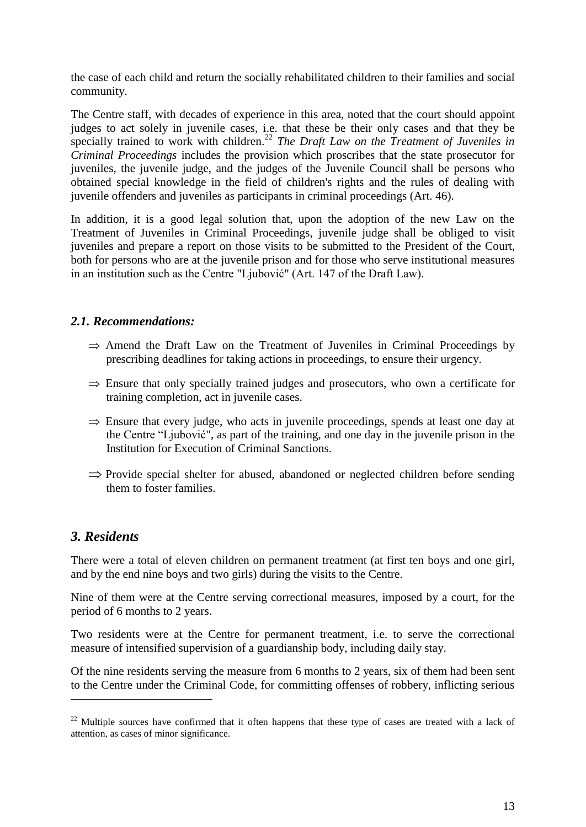the case of each child and return the socially rehabilitated children to their families and social community.

The Centre staff, with decades of experience in this area, noted that the court should appoint judges to act solely in juvenile cases, i.e. that these be their only cases and that they be specially trained to work with children.<sup>22</sup> *The Draft Law on the Treatment of Juveniles in Criminal Proceedings* includes the provision which proscribes that the state prosecutor for juveniles, the juvenile judge, and the judges of the Juvenile Council shall be persons who obtained special knowledge in the field of children's rights and the rules of dealing with juvenile offenders and juveniles as participants in criminal proceedings (Art. 46).

In addition, it is a good legal solution that, upon the adoption of the new Law on the Treatment of Juveniles in Criminal Proceedings, juvenile judge shall be obliged to visit juveniles and prepare a report on those visits to be submitted to the President of the Court, both for persons who are at the juvenile prison and for those who serve institutional measures in an institution such as the Centre "Ljubović" (Art. 147 of the Draft Law).

#### *2.1. Recommendations:*

- $\Rightarrow$  Amend the Draft Law on the Treatment of Juveniles in Criminal Proceedings by prescribing deadlines for taking actions in proceedings, to ensure their urgency.
- $\Rightarrow$  Ensure that only specially trained judges and prosecutors, who own a certificate for training completion, act in juvenile cases.
- $\Rightarrow$  Ensure that every judge, who acts in juvenile proceedings, spends at least one day at the Centre "Ljubović", as part of the training, and one day in the juvenile prison in the Institution for Execution of Criminal Sanctions.
- $\Rightarrow$  Provide special shelter for abused, abandoned or neglected children before sending them to foster families.

# *3. Residents*

**.** 

There were a total of eleven children on permanent treatment (at first ten boys and one girl, and by the end nine boys and two girls) during the visits to the Centre.

Nine of them were at the Centre serving correctional measures, imposed by a court, for the period of 6 months to 2 years.

Two residents were at the Centre for permanent treatment, i.e. to serve the correctional measure of intensified supervision of a guardianship body, including daily stay.

Of the nine residents serving the measure from 6 months to 2 years, six of them had been sent to the Centre under the Criminal Code, for committing offenses of robbery, inflicting serious

<sup>&</sup>lt;sup>22</sup> Multiple sources have confirmed that it often happens that these type of cases are treated with a lack of attention, as cases of minor significance.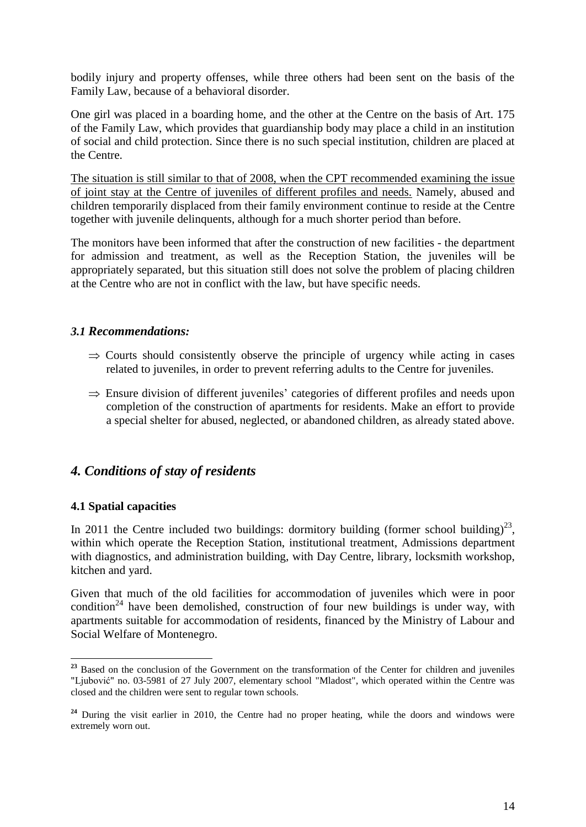bodily injury and property offenses, while three others had been sent on the basis of the Family Law, because of a behavioral disorder.

One girl was placed in a boarding home, and the other at the Centre on the basis of Art. 175 of the Family Law, which provides that guardianship body may place a child in an institution of social and child protection. Since there is no such special institution, children are placed at the Centre.

The situation is still similar to that of 2008, when the CPT recommended examining the issue of joint stay at the Centre of juveniles of different profiles and needs. Namely, abused and children temporarily displaced from their family environment continue to reside at the Centre together with juvenile delinquents, although for a much shorter period than before.

The monitors have been informed that after the construction of new facilities - the department for admission and treatment, as well as the Reception Station, the juveniles will be appropriately separated, but this situation still does not solve the problem of placing children at the Centre who are not in conflict with the law, but have specific needs.

#### *3.1 Recommendations:*

- $\Rightarrow$  Courts should consistently observe the principle of urgency while acting in cases related to juveniles, in order to prevent referring adults to the Centre for juveniles.
- $\Rightarrow$  Ensure division of different juveniles' categories of different profiles and needs upon completion of the construction of apartments for residents. Make an effort to provide a special shelter for abused, neglected, or abandoned children, as already stated above.

# *4. Conditions of stay of residents*

#### **4.1 Spatial capacities**

**.** 

In 2011 the Centre included two buildings: dormitory building (former school building)<sup>23</sup>, within which operate the Reception Station, institutional treatment, Admissions department with diagnostics, and administration building, with Day Centre, library, locksmith workshop, kitchen and yard.

Given that much of the old facilities for accommodation of juveniles which were in poor condition<sup>24</sup> have been demolished, construction of four new buildings is under way, with apartments suitable for accommodation of residents, financed by the Ministry of Labour and Social Welfare of Montenegro.

<sup>&</sup>lt;sup>23</sup> Based on the conclusion of the Government on the transformation of the Center for children and juveniles "Ljubović" no. 03-5981 of 27 July 2007, elementary school "Mladost", which operated within the Centre was closed and the children were sent to regular town schools.

<sup>&</sup>lt;sup>24</sup> During the visit earlier in 2010, the Centre had no proper heating, while the doors and windows were extremely worn out.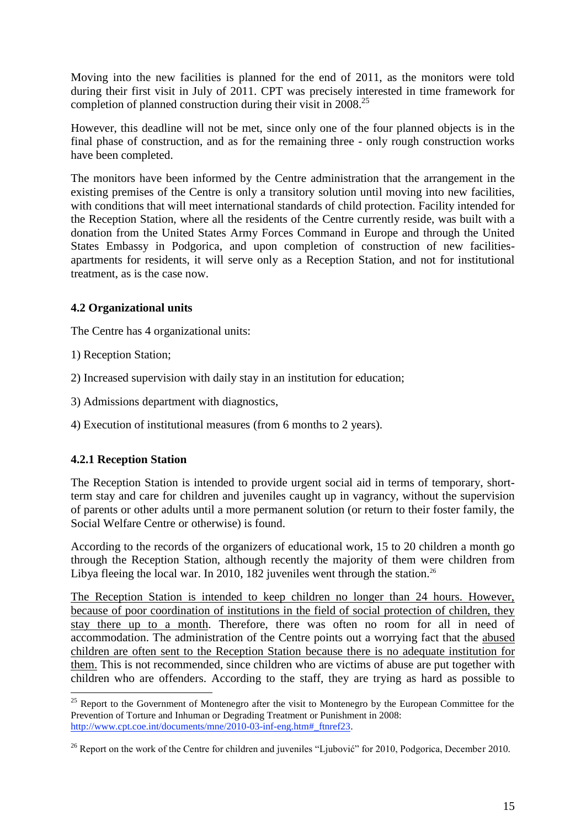Moving into the new facilities is planned for the end of 2011, as the monitors were told during their first visit in July of 2011. CPT was precisely interested in time framework for completion of planned construction during their visit in 2008<sup>25</sup>

However, this deadline will not be met, since only one of the four planned objects is in the final phase of construction, and as for the remaining three - only rough construction works have been completed.

The monitors have been informed by the Centre administration that the arrangement in the existing premises of the Centre is only a transitory solution until moving into new facilities, with conditions that will meet international standards of child protection. Facility intended for the Reception Station, where all the residents of the Centre currently reside, was built with a donation from the United States Army Forces Command in Europe and through the United States Embassy in Podgorica, and upon completion of construction of new facilitiesapartments for residents, it will serve only as a Reception Station, and not for institutional treatment, as is the case now.

## **4.2 Organizational units**

The Centre has 4 organizational units:

- 1) Reception Station;
- 2) Increased supervision with daily stay in an institution for education;
- 3) Admissions department with diagnostics,
- 4) Execution of institutional measures (from 6 months to 2 years).

#### **4.2.1 Reception Station**

**.** 

The Reception Station is intended to provide urgent social aid in terms of temporary, shortterm stay and care for children and juveniles caught up in vagrancy, without the supervision of parents or other adults until a more permanent solution (or return to their foster family, the Social Welfare Centre or otherwise) is found.

According to the records of the organizers of educational work, 15 to 20 children a month go through the Reception Station, although recently the majority of them were children from Libya fleeing the local war. In 2010, 182 juveniles went through the station.<sup>26</sup>

The Reception Station is intended to keep children no longer than 24 hours. However, because of poor coordination of institutions in the field of social protection of children, they stay there up to a month. Therefore, there was often no room for all in need of accommodation. The administration of the Centre points out a worrying fact that the abused children are often sent to the Reception Station because there is no adequate institution for them. This is not recommended, since children who are victims of abuse are put together with children who are offenders. According to the staff, they are trying as hard as possible to

 $25$  Report to the Government of Montenegro after the visit to Montenegro by the European Committee for the Prevention of Torture and Inhuman or Degrading Treatment or Punishment in 2008: [http://www.cpt.coe.int/documents/mne/2010-03-inf-eng.htm#\\_ftnref23.](http://www.cpt.coe.int/documents/mne/2010-03-inf-eng.htm#_ftnref23)

<sup>&</sup>lt;sup>26</sup> Report on the work of the Centre for children and juveniles "Ljubović" for 2010, Podgorica, December 2010.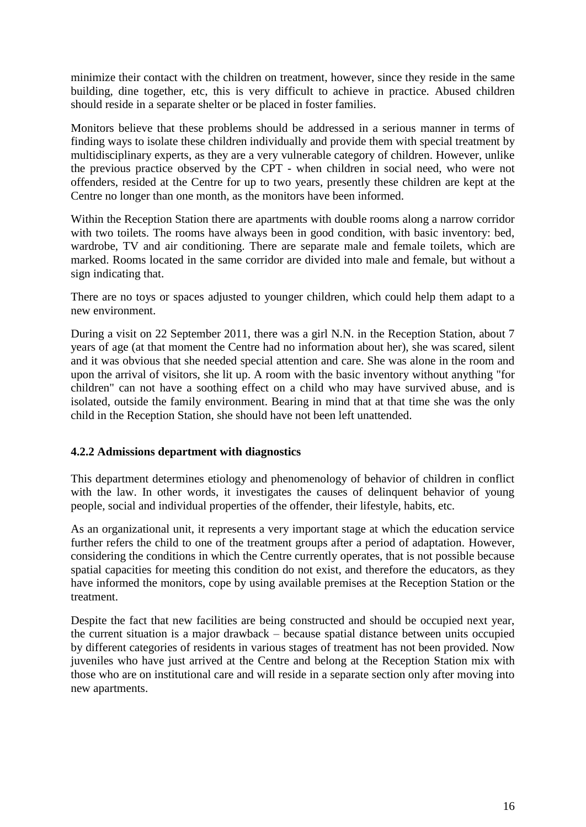minimize their contact with the children on treatment, however, since they reside in the same building, dine together, etc, this is very difficult to achieve in practice. Abused children should reside in a separate shelter or be placed in foster families.

Monitors believe that these problems should be addressed in a serious manner in terms of finding ways to isolate these children individually and provide them with special treatment by multidisciplinary experts, as they are a very vulnerable category of children. However, unlike the previous practice observed by the CPT - when children in social need, who were not offenders, resided at the Centre for up to two years, presently these children are kept at the Centre no longer than one month, as the monitors have been informed.

Within the Reception Station there are apartments with double rooms along a narrow corridor with two toilets. The rooms have always been in good condition, with basic inventory: bed, wardrobe, TV and air conditioning. There are separate male and female toilets, which are marked. Rooms located in the same corridor are divided into male and female, but without a sign indicating that.

There are no toys or spaces adjusted to younger children, which could help them adapt to a new environment.

During a visit on 22 September 2011, there was a girl N.N. in the Reception Station, about 7 years of age (at that moment the Centre had no information about her), she was scared, silent and it was obvious that she needed special attention and care. She was alone in the room and upon the arrival of visitors, she lit up. A room with the basic inventory without anything "for children" can not have a soothing effect on a child who may have survived abuse, and is isolated, outside the family environment. Bearing in mind that at that time she was the only child in the Reception Station, she should have not been left unattended.

#### **4.2.2 Admissions department with diagnostics**

This department determines etiology and phenomenology of behavior of children in conflict with the law. In other words, it investigates the causes of delinquent behavior of young people, social and individual properties of the offender, their lifestyle, habits, etc.

As an organizational unit, it represents a very important stage at which the education service further refers the child to one of the treatment groups after a period of adaptation. However, considering the conditions in which the Centre currently operates, that is not possible because spatial capacities for meeting this condition do not exist, and therefore the educators, as they have informed the monitors, cope by using available premises at the Reception Station or the treatment.

Despite the fact that new facilities are being constructed and should be occupied next year, the current situation is a major drawback – because spatial distance between units occupied by different categories of residents in various stages of treatment has not been provided. Now juveniles who have just arrived at the Centre and belong at the Reception Station mix with those who are on institutional care and will reside in a separate section only after moving into new apartments.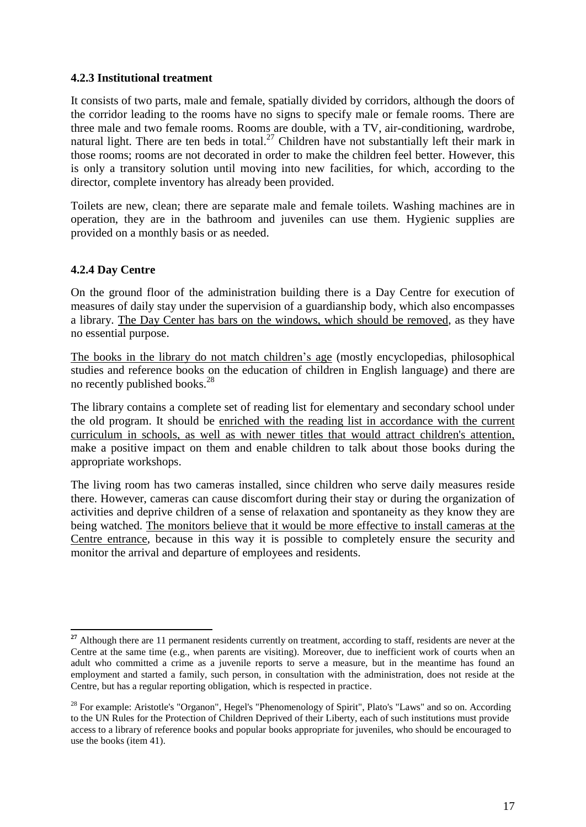#### **4.2.3 Institutional treatment**

It consists of two parts, male and female, spatially divided by corridors, although the doors of the corridor leading to the rooms have no signs to specify male or female rooms. There are three male and two female rooms. Rooms are double, with a TV, air-conditioning, wardrobe, natural light. There are ten beds in total.<sup>27</sup> Children have not substantially left their mark in those rooms; rooms are not decorated in order to make the children feel better. However, this is only a transitory solution until moving into new facilities, for which, according to the director, complete inventory has already been provided.

Toilets are new, clean; there are separate male and female toilets. Washing machines are in operation, they are in the bathroom and juveniles can use them. Hygienic supplies are provided on a monthly basis or as needed.

#### **4.2.4 Day Centre**

1

On the ground floor of the administration building there is a Day Centre for execution of measures of daily stay under the supervision of a guardianship body, which also encompasses a library. The Day Center has bars on the windows, which should be removed, as they have no essential purpose.

The books in the library do not match children's age (mostly encyclopedias, philosophical studies and reference books on the education of children in English language) and there are no recently published books.<sup>28</sup>

The library contains a complete set of reading list for elementary and secondary school under the old program. It should be enriched with the reading list in accordance with the current curriculum in schools, as well as with newer titles that would attract children's attention, make a positive impact on them and enable children to talk about those books during the appropriate workshops.

The living room has two cameras installed, since children who serve daily measures reside there. However, cameras can cause discomfort during their stay or during the organization of activities and deprive children of a sense of relaxation and spontaneity as they know they are being watched. The monitors believe that it would be more effective to install cameras at the Centre entrance, because in this way it is possible to completely ensure the security and monitor the arrival and departure of employees and residents.

<sup>&</sup>lt;sup>27</sup> Although there are 11 permanent residents currently on treatment, according to staff, residents are never at the Centre at the same time (e.g., when parents are visiting). Moreover, due to inefficient work of courts when an adult who committed a crime as a juvenile reports to serve a measure, but in the meantime has found an employment and started a family, such person, in consultation with the administration, does not reside at the Centre, but has a regular reporting obligation, which is respected in practice.

<sup>&</sup>lt;sup>28</sup> For example: Aristotle's "Organon", Hegel's "Phenomenology of Spirit", Plato's "Laws" and so on. According to the UN Rules for the Protection of Children Deprived of their Liberty, each of such institutions must provide access to a library of reference books and popular books appropriate for juveniles, who should be encouraged to use the books (item 41).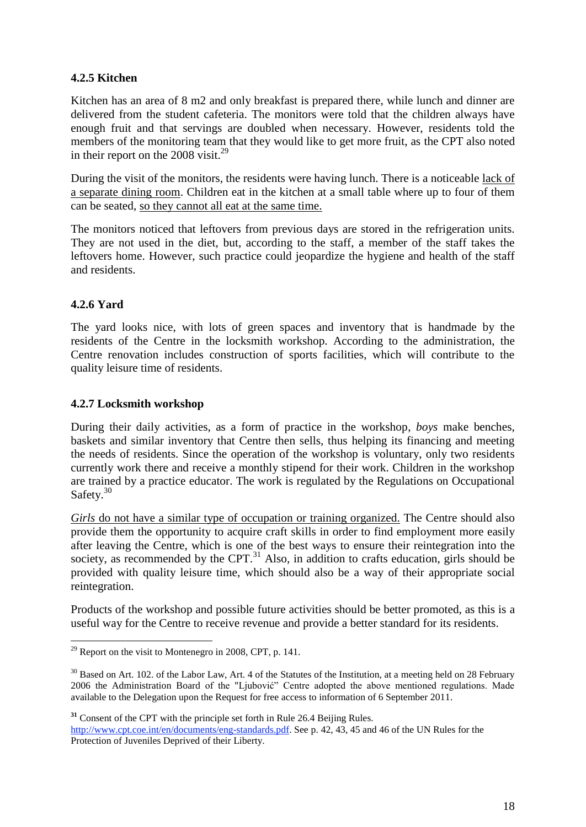#### **4.2.5 Kitchen**

Kitchen has an area of 8 m2 and only breakfast is prepared there, while lunch and dinner are delivered from the student cafeteria. The monitors were told that the children always have enough fruit and that servings are doubled when necessary. However, residents told the members of the monitoring team that they would like to get more fruit, as the CPT also noted in their report on the  $2008$  visit.<sup>29</sup>

During the visit of the monitors, the residents were having lunch. There is a noticeable lack of a separate dining room. Children eat in the kitchen at a small table where up to four of them can be seated, so they cannot all eat at the same time.

The monitors noticed that leftovers from previous days are stored in the refrigeration units. They are not used in the diet, but, according to the staff, a member of the staff takes the leftovers home. However, such practice could jeopardize the hygiene and health of the staff and residents.

# **4.2.6 Yard**

**.** 

The yard looks nice, with lots of green spaces and inventory that is handmade by the residents of the Centre in the locksmith workshop. According to the administration, the Centre renovation includes construction of sports facilities, which will contribute to the quality leisure time of residents.

#### **4.2.7 Locksmith workshop**

During their daily activities, as a form of practice in the workshop, *boys* make benches, baskets and similar inventory that Centre then sells, thus helping its financing and meeting the needs of residents. Since the operation of the workshop is voluntary, only two residents currently work there and receive a monthly stipend for their work. Children in the workshop are trained by a practice educator. The work is regulated by the Regulations on Occupational Safety.<sup>30</sup>

Girls do not have a similar type of occupation or training organized. The Centre should also provide them the opportunity to acquire craft skills in order to find employment more easily after leaving the Centre, which is one of the best ways to ensure their reintegration into the society, as recommended by the CPT.<sup>31</sup> Also, in addition to crafts education, girls should be provided with quality leisure time, which should also be a way of their appropriate social reintegration.

Products of the workshop and possible future activities should be better promoted, as this is a useful way for the Centre to receive revenue and provide a better standard for its residents.

<sup>31</sup> Consent of the CPT with the principle set forth in Rule 26.4 Beijing Rules.

[http://www.cpt.coe.int/en/documents/eng-standards.pdf.](http://www.cpt.coe.int/en/documents/eng-standards.pdf) See p. 42, 43, 45 and 46 of the UN Rules for the Protection of Juveniles Deprived of their Liberty.

 $^{29}$  Report on the visit to Montenegro in 2008, CPT, p. 141.

<sup>&</sup>lt;sup>30</sup> Based on Art. 102. of the Labor Law, Art. 4 of the Statutes of the Institution, at a meeting held on 28 February 2006 the Administration Board of the "Ljubović" Centre adopted the above mentioned regulations. Made available to the Delegation upon the Request for free access to information of 6 September 2011.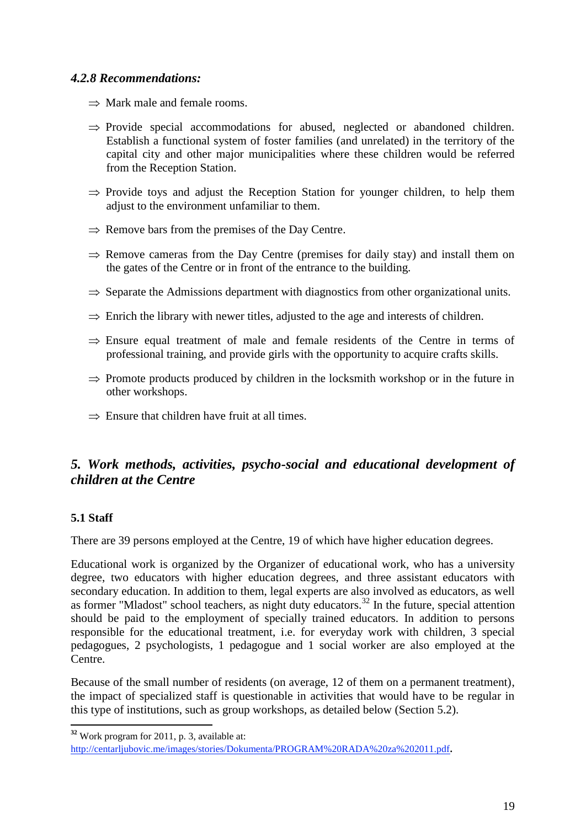# *4.2.8 Recommendations:*

- $\Rightarrow$  Mark male and female rooms.
- $\Rightarrow$  Provide special accommodations for abused, neglected or abandoned children. Establish a functional system of foster families (and unrelated) in the territory of the capital city and other major municipalities where these children would be referred from the Reception Station.
- $\Rightarrow$  Provide toys and adjust the Reception Station for younger children, to help them adjust to the environment unfamiliar to them.
- $\Rightarrow$  Remove bars from the premises of the Day Centre.
- $\Rightarrow$  Remove cameras from the Day Centre (premises for daily stay) and install them on the gates of the Centre or in front of the entrance to the building.
- $\Rightarrow$  Separate the Admissions department with diagnostics from other organizational units.
- $\Rightarrow$  Enrich the library with newer titles, adjusted to the age and interests of children.
- $\Rightarrow$  Ensure equal treatment of male and female residents of the Centre in terms of professional training, and provide girls with the opportunity to acquire crafts skills.
- $\Rightarrow$  Promote products produced by children in the locksmith workshop or in the future in other workshops.
- $\Rightarrow$  Ensure that children have fruit at all times.

# *5. Work methods, activities, psycho-social and educational development of children at the Centre*

#### **5.1 Staff**

There are 39 persons employed at the Centre, 19 of which have higher education degrees.

Educational work is organized by the Organizer of educational work, who has a university degree, two educators with higher education degrees, and three assistant educators with secondary education. In addition to them, legal experts are also involved as educators, as well as former "Mladost" school teachers, as night duty educators.<sup>32</sup> In the future, special attention should be paid to the employment of specially trained educators. In addition to persons responsible for the educational treatment, i.e. for everyday work with children, 3 special pedagogues, 2 psychologists, 1 pedagogue and 1 social worker are also employed at the Centre.

Because of the small number of residents (on average, 12 of them on a permanent treatment), the impact of specialized staff is questionable in activities that would have to be regular in this type of institutions, such as group workshops, as detailed below (Section 5.2).

**<sup>.</sup> <sup>32</sup>** Work program for 2011, p. 3, available at:

<http://centarljubovic.me/images/stories/Dokumenta/PROGRAM%20RADA%20za%202011.pdf>**.**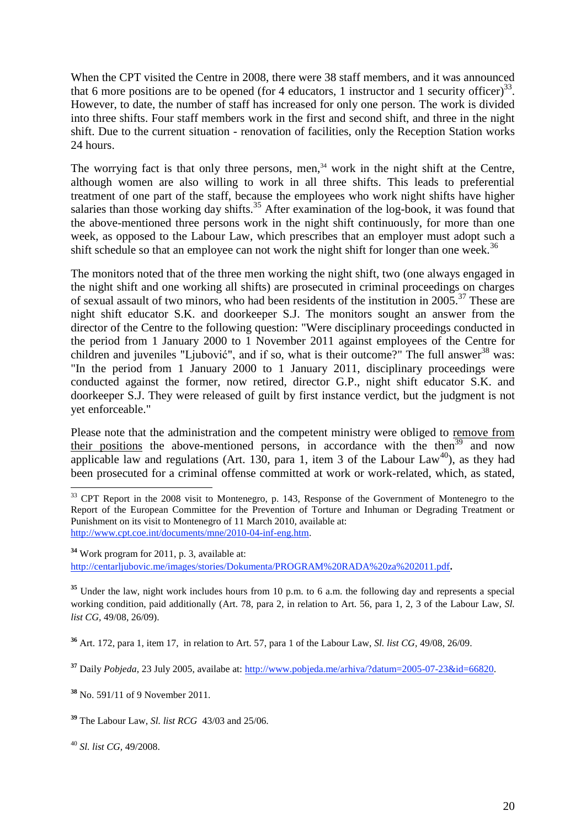When the CPT visited the Centre in 2008, there were 38 staff members, and it was announced that 6 more positions are to be opened (for 4 educators, 1 instructor and 1 security officer)<sup>33</sup>. However, to date, the number of staff has increased for only one person. The work is divided into three shifts. Four staff members work in the first and second shift, and three in the night shift. Due to the current situation - renovation of facilities, only the Reception Station works 24 hours.

The worrying fact is that only three persons, men,<sup>34</sup> work in the night shift at the Centre, although women are also willing to work in all three shifts. This leads to preferential treatment of one part of the staff, because the employees who work night shifts have higher salaries than those working day shifts.<sup>35</sup> After examination of the log-book, it was found that the above-mentioned three persons work in the night shift continuously, for more than one week, as opposed to the Labour Law, which prescribes that an employer must adopt such a shift schedule so that an employee can not work the night shift for longer than one week.<sup>36</sup>

The monitors noted that of the three men working the night shift, two (one always engaged in the night shift and one working all shifts) are prosecuted in criminal proceedings on charges of sexual assault of two minors, who had been residents of the institution in 2005.<sup>37</sup> These are night shift educator S.K. and doorkeeper S.J. The monitors sought an answer from the director of the Centre to the following question: "Were disciplinary proceedings conducted in the period from 1 January 2000 to 1 November 2011 against employees of the Centre for children and juveniles "Ljubović", and if so, what is their outcome?" The full answer<sup>38</sup> was: "In the period from 1 January 2000 to 1 January 2011, disciplinary proceedings were conducted against the former, now retired, director G.P., night shift educator S.K. and doorkeeper S.J. They were released of guilt by first instance verdict, but the judgment is not yet enforceable."

Please note that the administration and the competent ministry were obliged to remove from their positions the above-mentioned persons, in accordance with the then<sup>39</sup> and now applicable law and regulations (Art. 130, para 1, item 3 of the Labour Law<sup>40</sup>), as they had been prosecuted for a criminal offense committed at work or work-related, which, as stated,

**<sup>34</sup>** Work program for 2011, p. 3, available at: <http://centarljubovic.me/images/stories/Dokumenta/PROGRAM%20RADA%20za%202011.pdf>**.**

<sup>35</sup> Under the law, night work includes hours from 10 p.m. to 6 a.m. the following day and represents a special working condition, paid additionally (Art. 78, para 2, in relation to Art. 56, para 1, 2, 3 of the Labour Law, *Sl. list CG,* 49/08, 26/09).

**<sup>36</sup>** Art. 172, para 1, item 17, in relation to Art. 57, para 1 of the Labour Law, *Sl. list CG,* 49/08, 26/09.

**<sup>37</sup>** Daily *Pobjeda*, 23 July 2005, availabe at: [http://www.pobjeda.me/arhiva/?datum=2005-07-23&id=66820.](http://www.pobjeda.me/arhiva/?datum=2005-07-23&id=66820)

**<sup>38</sup>** No. 591/11 of 9 November 2011.

**<sup>39</sup>** The Labour Law, *Sl. list RCG* 43/03 and 25/06.

<sup>40</sup> *Sl. list CG,* 49/2008.

<sup>1</sup> <sup>33</sup> CPT Report in the 2008 visit to Montenegro, p. 143, Response of the Government of Montenegro to the Report of the European Committee for the Prevention of Torture and Inhuman or Degrading Treatment or Punishment on its visit to Montenegro of 11 March 2010, available at: [http://www.cpt.coe.int/documents/mne/2010-04-inf-eng.htm.](http://www.cpt.coe.int/documents/mne/2010-04-inf-eng.htm)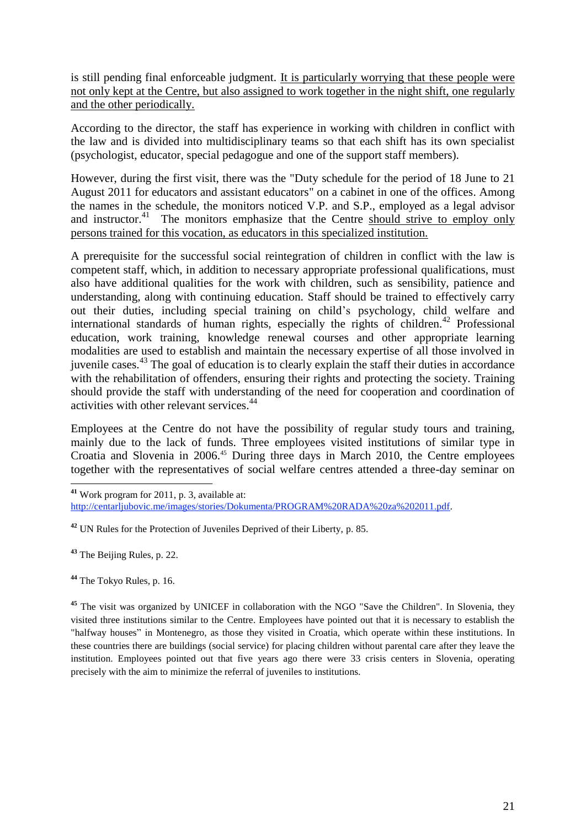is still pending final enforceable judgment. It is particularly worrying that these people were not only kept at the Centre, but also assigned to work together in the night shift, one regularly and the other periodically.

According to the director, the staff has experience in working with children in conflict with the law and is divided into multidisciplinary teams so that each shift has its own specialist (psychologist, educator, special pedagogue and one of the support staff members).

However, during the first visit, there was the "Duty schedule for the period of 18 June to 21 August 2011 for educators and assistant educators" on a cabinet in one of the offices. Among the names in the schedule, the monitors noticed V.P. and S.P., employed as a legal advisor and instructor.<sup>41</sup> The monitors emphasize that the Centre should strive to employ only persons trained for this vocation, as educators in this specialized institution.

A prerequisite for the successful social reintegration of children in conflict with the law is competent staff, which, in addition to necessary appropriate professional qualifications, must also have additional qualities for the work with children, such as sensibility, patience and understanding, along with continuing education. Staff should be trained to effectively carry out their duties, including special training on child's psychology, child welfare and international standards of human rights, especially the rights of children.<sup>42</sup> Professional education, work training, knowledge renewal courses and other appropriate learning modalities are used to establish and maintain the necessary expertise of all those involved in juvenile cases.<sup>43</sup> The goal of education is to clearly explain the staff their duties in accordance with the rehabilitation of offenders, ensuring their rights and protecting the society. Training should provide the staff with understanding of the need for cooperation and coordination of activities with other relevant services.<sup>44</sup>

Employees at the Centre do not have the possibility of regular study tours and training, mainly due to the lack of funds. Three employees visited institutions of similar type in Croatia and Slovenia in 2006.<sup>45</sup> During three days in March 2010, the Centre employees together with the representatives of social welfare centres attended a three-day seminar on

**.** 

**<sup>41</sup>** Work program for 2011, p. 3, available at: [http://centarljubovic.me/images/stories/Dokumenta/PROGRAM%20RADA%20za%202011.pdf.](http://centarljubovic.me/images/stories/Dokumenta/PROGRAM%20RADA%20za%202011.pdf)

**<sup>42</sup>** UN Rules for the Protection of Juveniles Deprived of their Liberty, p. 85.

**<sup>43</sup>** The Beijing Rules, p. 22.

**<sup>44</sup>** The Tokyo Rules, p. 16.

<sup>&</sup>lt;sup>45</sup> The visit was organized by UNICEF in collaboration with the NGO "Save the Children". In Slovenia, they visited three institutions similar to the Centre. Employees have pointed out that it is necessary to establish the "halfway houses" in Montenegro, as those they visited in Croatia, which operate within these institutions. In these countries there are buildings (social service) for placing children without parental care after they leave the institution. Employees pointed out that five years ago there were 33 crisis centers in Slovenia, operating precisely with the aim to minimize the referral of juveniles to institutions.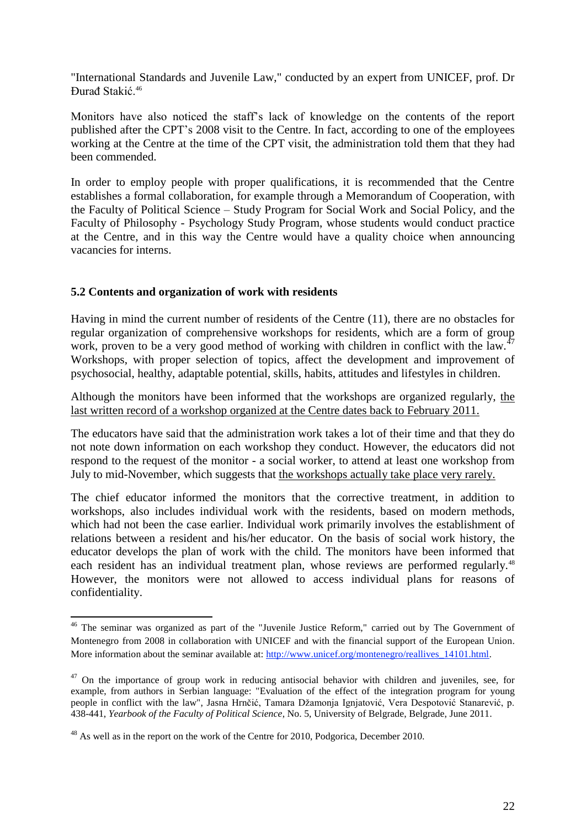"International Standards and Juvenile Law," conducted by an expert from UNICEF, prof. Dr Đurađ Stakić.<sup>46</sup>

Monitors have also noticed the staff's lack of knowledge on the contents of the report published after the CPT's 2008 visit to the Centre. In fact, according to one of the employees working at the Centre at the time of the CPT visit, the administration told them that they had been commended.

In order to employ people with proper qualifications, it is recommended that the Centre establishes a formal collaboration, for example through a Memorandum of Cooperation, with the Faculty of Political Science – Study Program for Social Work and Social Policy, and the Faculty of Philosophy - Psychology Study Program, whose students would conduct practice at the Centre, and in this way the Centre would have a quality choice when announcing vacancies for interns.

#### **5.2 Contents and organization of work with residents**

**.** 

Having in mind the current number of residents of the Centre (11), there are no obstacles for regular organization of comprehensive workshops for residents, which are a form of group work, proven to be a very good method of working with children in conflict with the law.<sup>47</sup> Workshops, with proper selection of topics, affect the development and improvement of psychosocial, healthy, adaptable potential, skills, habits, attitudes and lifestyles in children.

Although the monitors have been informed that the workshops are organized regularly, the last written record of a workshop organized at the Centre dates back to February 2011.

The educators have said that the administration work takes a lot of their time and that they do not note down information on each workshop they conduct. However, the educators did not respond to the request of the monitor - a social worker, to attend at least one workshop from July to mid-November, which suggests that the workshops actually take place very rarely.

The chief educator informed the monitors that the corrective treatment, in addition to workshops, also includes individual work with the residents, based on modern methods, which had not been the case earlier. Individual work primarily involves the establishment of relations between a resident and his/her educator. On the basis of social work history, the educator develops the plan of work with the child. The monitors have been informed that each resident has an individual treatment plan, whose reviews are performed regularly.<sup>48</sup> However, the monitors were not allowed to access individual plans for reasons of confidentiality.

<sup>&</sup>lt;sup>46</sup> The seminar was organized as part of the "Juvenile Justice Reform," carried out by The Government of Montenegro from 2008 in collaboration with UNICEF and with the financial support of the European Union. More information about the seminar available at: http://www.unicef.org/montenegro/reallives 14101.html.

 $47$  On the importance of group work in reducing antisocial behavior with children and juveniles, see, for example, from authors in Serbian language: "Evaluation of the effect of the integration program for young people in conflict with the law", Jasna Hrnčić, Tamara Džamonja Ignjatović, Vera Despotović Stanarević, p. 438-441, *Yearbook of the Faculty of Political Science*, No. 5, University of Belgrade, Belgrade, June 2011.

<sup>&</sup>lt;sup>48</sup> As well as in the report on the work of the Centre for 2010, Podgorica, December 2010.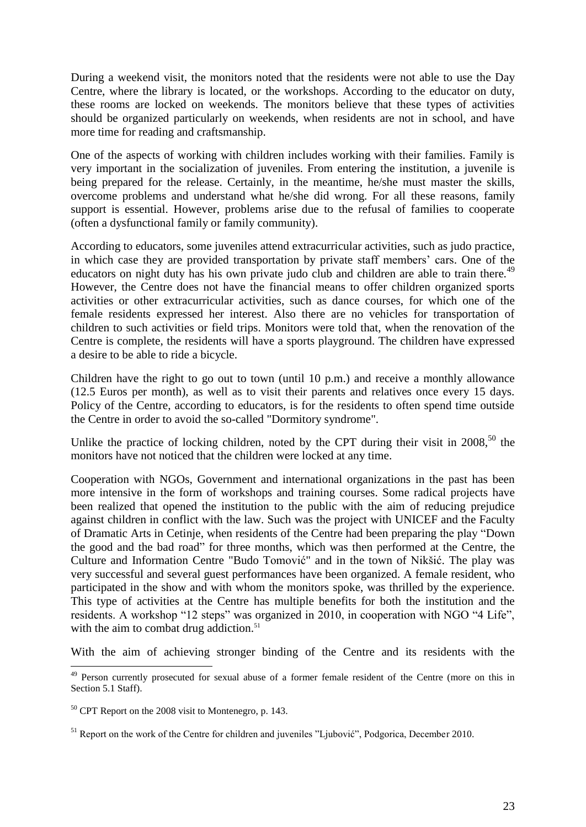During a weekend visit, the monitors noted that the residents were not able to use the Day Centre, where the library is located, or the workshops. According to the educator on duty, these rooms are locked on weekends. The monitors believe that these types of activities should be organized particularly on weekends, when residents are not in school, and have more time for reading and craftsmanship.

One of the aspects of working with children includes working with their families. Family is very important in the socialization of juveniles. From entering the institution, a juvenile is being prepared for the release. Certainly, in the meantime, he/she must master the skills, overcome problems and understand what he/she did wrong. For all these reasons, family support is essential. However, problems arise due to the refusal of families to cooperate (often a dysfunctional family or family community).

According to educators, some juveniles attend extracurricular activities, such as judo practice, in which case they are provided transportation by private staff members' cars. One of the educators on night duty has his own private judo club and children are able to train there.<sup>49</sup> However, the Centre does not have the financial means to offer children organized sports activities or other extracurricular activities, such as dance courses, for which one of the female residents expressed her interest. Also there are no vehicles for transportation of children to such activities or field trips. Monitors were told that, when the renovation of the Centre is complete, the residents will have a sports playground. The children have expressed a desire to be able to ride a bicycle.

Children have the right to go out to town (until 10 p.m.) and receive a monthly allowance (12.5 Euros per month), as well as to visit their parents and relatives once every 15 days. Policy of the Centre, according to educators, is for the residents to often spend time outside the Centre in order to avoid the so-called "Dormitory syndrome".

Unlike the practice of locking children, noted by the CPT during their visit in  $2008$ ,<sup>50</sup> the monitors have not noticed that the children were locked at any time.

Cooperation with NGOs, Government and international organizations in the past has been more intensive in the form of workshops and training courses. Some radical projects have been realized that opened the institution to the public with the aim of reducing prejudice against children in conflict with the law. Such was the project with UNICEF and the Faculty of Dramatic Arts in Cetinje, when residents of the Centre had been preparing the play "Down the good and the bad road" for three months, which was then performed at the Centre, the Culture and Information Centre "Budo Tomović" and in the town of Nikšić. The play was very successful and several guest performances have been organized. A female resident, who participated in the show and with whom the monitors spoke, was thrilled by the experience. This type of activities at the Centre has multiple benefits for both the institution and the residents. A workshop "12 steps" was organized in 2010, in cooperation with NGO "4 Life", with the aim to combat drug addiction.<sup>51</sup>

With the aim of achieving stronger binding of the Centre and its residents with the

**.** 

<sup>&</sup>lt;sup>49</sup> Person currently prosecuted for sexual abuse of a former female resident of the Centre (more on this in Section 5.1 Staff).

 $50$  CPT Report on the 2008 visit to Montenegro, p. 143.

<sup>&</sup>lt;sup>51</sup> Report on the work of the Centre for children and juveniles "Ljubović", Podgorica, December 2010.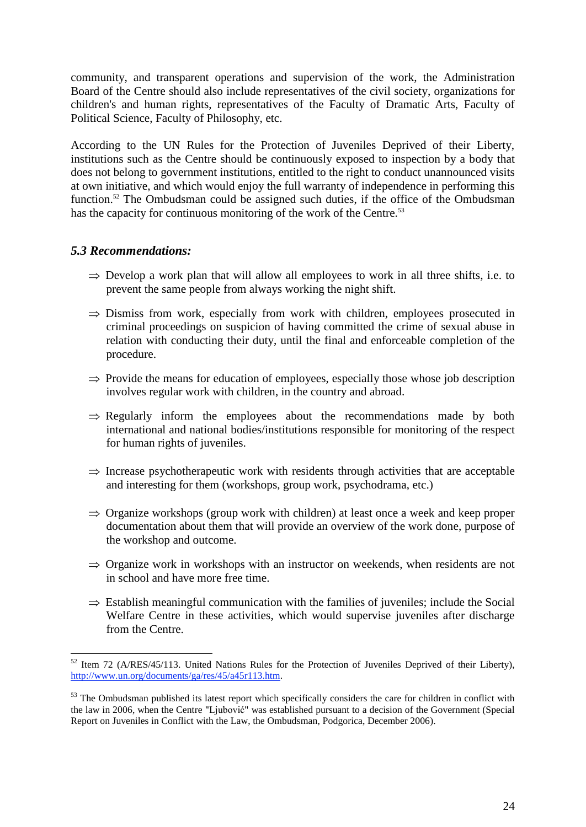community, and transparent operations and supervision of the work, the Administration Board of the Centre should also include representatives of the civil society, organizations for children's and human rights, representatives of the Faculty of Dramatic Arts, Faculty of Political Science, Faculty of Philosophy, etc.

According to the UN Rules for the Protection of Juveniles Deprived of their Liberty, institutions such as the Centre should be continuously exposed to inspection by a body that does not belong to government institutions, entitled to the right to conduct unannounced visits at own initiative, and which would enjoy the full warranty of independence in performing this function.<sup>52</sup> The Ombudsman could be assigned such duties, if the office of the Ombudsman has the capacity for continuous monitoring of the work of the Centre.<sup>53</sup>

#### *5.3 Recommendations:*

1

- $\Rightarrow$  Develop a work plan that will allow all employees to work in all three shifts, i.e. to prevent the same people from always working the night shift.
- $\Rightarrow$  Dismiss from work, especially from work with children, employees prosecuted in criminal proceedings on suspicion of having committed the crime of sexual abuse in relation with conducting their duty, until the final and enforceable completion of the procedure.
- $\Rightarrow$  Provide the means for education of employees, especially those whose job description involves regular work with children, in the country and abroad.
- $\Rightarrow$  Regularly inform the employees about the recommendations made by both international and national bodies/institutions responsible for monitoring of the respect for human rights of juveniles.
- $\Rightarrow$  Increase psychotherapeutic work with residents through activities that are acceptable and interesting for them (workshops, group work, psychodrama, etc.)
- $\Rightarrow$  Organize workshops (group work with children) at least once a week and keep proper documentation about them that will provide an overview of the work done, purpose of the workshop and outcome.
- $\Rightarrow$  Organize work in workshops with an instructor on weekends, when residents are not in school and have more free time.
- $\Rightarrow$  Establish meaningful communication with the families of juveniles; include the Social Welfare Centre in these activities, which would supervise juveniles after discharge from the Centre.

 $52$  Item 72 (A/RES/45/113. United Nations Rules for the Protection of Juveniles Deprived of their Liberty), [http://www.un.org/documents/ga/res/45/a45r113.htm.](http://www.un.org/documents/ga/res/45/a45r113.htm)

<sup>&</sup>lt;sup>53</sup> The Ombudsman published its latest report which specifically considers the care for children in conflict with the law in 2006, when the Centre "Ljubović" was established pursuant to a decision of the Government (Special Report on Juveniles in Conflict with the Law, the Ombudsman, Podgorica, December 2006).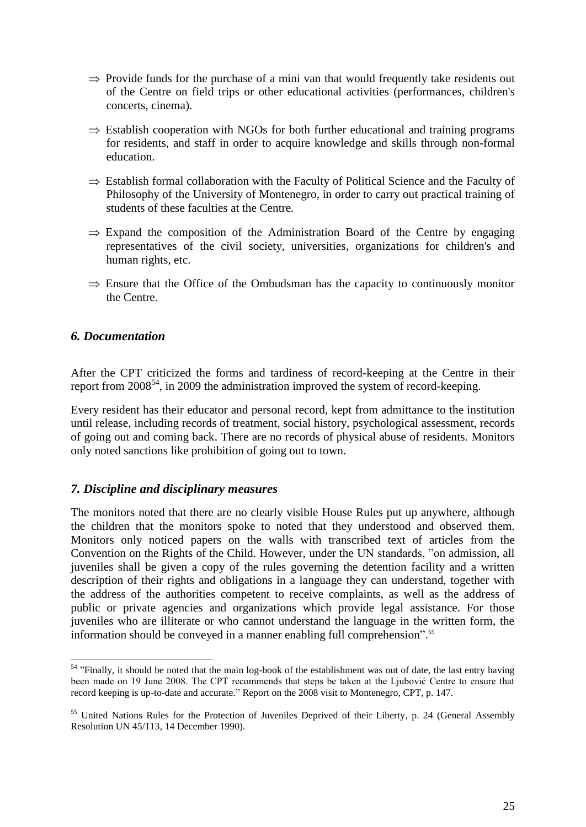- $\Rightarrow$  Provide funds for the purchase of a mini van that would frequently take residents out of the Centre on field trips or other educational activities (performances, children's concerts, cinema).
- $\Rightarrow$  Establish cooperation with NGOs for both further educational and training programs for residents, and staff in order to acquire knowledge and skills through non-formal education.
- $\Rightarrow$  Establish formal collaboration with the Faculty of Political Science and the Faculty of Philosophy of the University of Montenegro, in order to carry out practical training of students of these faculties at the Centre.
- $\Rightarrow$  Expand the composition of the Administration Board of the Centre by engaging representatives of the civil society, universities, organizations for children's and human rights, etc.
- $\Rightarrow$  Ensure that the Office of the Ombudsman has the capacity to continuously monitor the Centre.

#### *6. Documentation*

1

After the CPT criticized the forms and tardiness of record-keeping at the Centre in their report from  $2008^{54}$ , in 2009 the administration improved the system of record-keeping.

Every resident has their educator and personal record, kept from admittance to the institution until release, including records of treatment, social history, psychological assessment, records of going out and coming back. There are no records of physical abuse of residents. Monitors only noted sanctions like prohibition of going out to town.

#### *7. Discipline and disciplinary measures*

The monitors noted that there are no clearly visible House Rules put up anywhere, although the children that the monitors spoke to noted that they understood and observed them. Monitors only noticed papers on the walls with transcribed text of articles from the Convention on the Rights of the Child. However, under the UN standards, "on admission, all juveniles shall be given a copy of the rules governing the detention facility and a written description of their rights and obligations in a language they can understand, together with the address of the authorities competent to receive complaints, as well as the address of public or private agencies and organizations which provide legal assistance. For those juveniles who are illiterate or who cannot understand the language in the written form, the information should be conveyed in a manner enabling full comprehension". 55

 $54$  "Finally, it should be noted that the main log-book of the establishment was out of date, the last entry having been made on 19 June 2008. The CPT recommends that steps be taken at the Ljubović Centre to ensure that record keeping is up-to-date and accurate." Report on the 2008 visit to Montenegro, CPT, p. 147.

<sup>&</sup>lt;sup>55</sup> United Nations Rules for the Protection of Juveniles Deprived of their Liberty, p. 24 (General Assembly Resolution UN 45/113, 14 December 1990).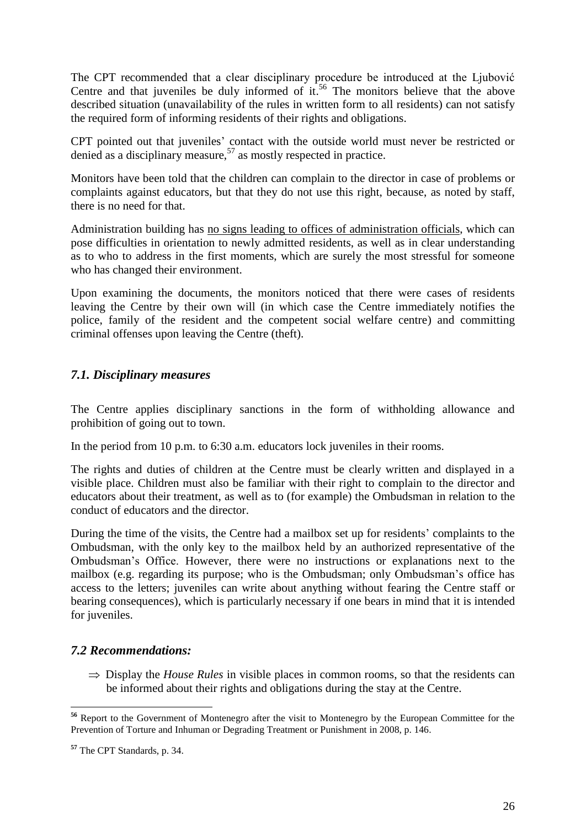The CPT recommended that a clear disciplinary procedure be introduced at the Ljubović Centre and that juveniles be duly informed of  $it.^{56}$ . The monitors believe that the above described situation (unavailability of the rules in written form to all residents) can not satisfy the required form of informing residents of their rights and obligations.

CPT pointed out that juveniles' contact with the outside world must never be restricted or denied as a disciplinary measure,  $57$  as mostly respected in practice.

Monitors have been told that the children can complain to the director in case of problems or complaints against educators, but that they do not use this right, because, as noted by staff, there is no need for that.

Administration building has no signs leading to offices of administration officials, which can pose difficulties in orientation to newly admitted residents, as well as in clear understanding as to who to address in the first moments, which are surely the most stressful for someone who has changed their environment.

Upon examining the documents, the monitors noticed that there were cases of residents leaving the Centre by their own will (in which case the Centre immediately notifies the police, family of the resident and the competent social welfare centre) and committing criminal offenses upon leaving the Centre (theft).

# *7.1. Disciplinary measures*

The Centre applies disciplinary sanctions in the form of withholding allowance and prohibition of going out to town.

In the period from 10 p.m. to 6:30 a.m. educators lock juveniles in their rooms.

The rights and duties of children at the Centre must be clearly written and displayed in a visible place. Children must also be familiar with their right to complain to the director and educators about their treatment, as well as to (for example) the Ombudsman in relation to the conduct of educators and the director.

During the time of the visits, the Centre had a mailbox set up for residents' complaints to the Ombudsman, with the only key to the mailbox held by an authorized representative of the Ombudsman's Office. However, there were no instructions or explanations next to the mailbox (e.g. regarding its purpose; who is the Ombudsman; only Ombudsman's office has access to the letters; juveniles can write about anything without fearing the Centre staff or bearing consequences), which is particularly necessary if one bears in mind that it is intended for juveniles.

#### *7.2 Recommendations:*

 $\Rightarrow$  Display the *House Rules* in visible places in common rooms, so that the residents can be informed about their rights and obligations during the stay at the Centre.

**<sup>.</sup> <sup>56</sup>** Report to the Government of Montenegro after the visit to Montenegro by the European Committee for the Prevention of Torture and Inhuman or Degrading Treatment or Punishment in 2008, p. 146.

**<sup>57</sup>** The CPT Standards, p. 34.